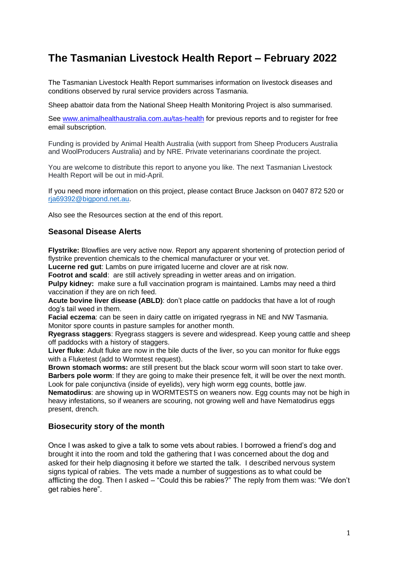# **The Tasmanian Livestock Health Report – February 2022**

The Tasmanian Livestock Health Report summarises information on livestock diseases and conditions observed by rural service providers across Tasmania.

Sheep abattoir data from the National Sheep Health Monitoring Project is also summarised.

See [www.animalhealthaustralia.com.au/tas-health](http://www.animalhealthaustralia.com.au/tas-health) for previous reports and to register for free email subscription.

Funding is provided by Animal Health Australia (with support from Sheep Producers Australia and WoolProducers Australia) and by NRE. Private veterinarians coordinate the project.

You are welcome to distribute this report to anyone you like. The next Tasmanian Livestock Health Report will be out in mid-April.

If you need more information on this project, please contact Bruce Jackson on 0407 872 520 or [rja69392@bigpond.net.au.](mailto:rja69392@bigpond.net.au)

Also see the Resources section at the end of this report.

## **Seasonal Disease Alerts**

**Flystrike:** Blowflies are very active now. Report any apparent shortening of protection period of flystrike prevention chemicals to the chemical manufacturer or your vet.

**Lucerne red gut**: Lambs on pure irrigated lucerne and clover are at risk now.

**Footrot and scald:** are still actively spreading in wetter areas and on irrigation.

**Pulpy kidney:** make sure a full vaccination program is maintained. Lambs may need a third vaccination if they are on rich feed.

**Acute bovine liver disease (ABLD)**: don't place cattle on paddocks that have a lot of rough dog's tail weed in them.

**Facial eczema**: can be seen in dairy cattle on irrigated ryegrass in NE and NW Tasmania. Monitor spore counts in pasture samples for another month.

**Ryegrass staggers**: Ryegrass staggers is severe and widespread. Keep young cattle and sheep off paddocks with a history of staggers.

**Liver fluke**: Adult fluke are now in the bile ducts of the liver, so you can monitor for fluke eggs with a Fluketest (add to Wormtest request).

**Brown stomach worms:** are still present but the black scour worm will soon start to take over. **Barbers pole worm**: If they are going to make their presence felt, it will be over the next month. Look for pale conjunctiva (inside of eyelids), very high worm egg counts, bottle jaw.

**Nematodirus**: are showing up in WORMTESTS on weaners now. Egg counts may not be high in heavy infestations, so if weaners are scouring, not growing well and have Nematodirus eggs present, drench.

# **Biosecurity story of the month**

Once I was asked to give a talk to some vets about rabies. I borrowed a friend's dog and brought it into the room and told the gathering that I was concerned about the dog and asked for their help diagnosing it before we started the talk. I described nervous system signs typical of rabies. The vets made a number of suggestions as to what could be afflicting the dog. Then I asked – "Could this be rabies?" The reply from them was: "We don't get rabies here".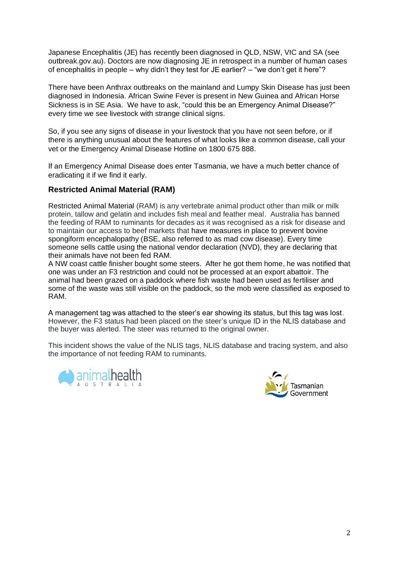Japanese Encephalitis (JE) has recently been diagnosed in QLD, NSW, VIC and SA (see outbreak.gov.au). Doctors are now diagnosing JE in retrospect in a number of human cases of encephalitis in people – why didn't they test for JE earlier? – "we don't get it here"?

There have been Anthrax outbreaks on the mainland and Lumpy Skin Disease has just been diagnosed in Indonesia. African Swine Fever is present in New Guinea and African Horse Sickness is in SE Asia. We have to ask, "could this be an Emergency Animal Disease?" every time we see livestock with strange clinical signs.

So, if you see any signs of disease in your livestock that you have not seen before, or if there is anything unusual about the features of what looks like a common disease, call your vet or the Emergency Animal Disease Hotline on 1800 675 888.

If an Emergency Animal Disease does enter Tasmania, we have a much better chance of eradicating it if we find it early.

# **Restricted Animal Material (RAM)**

Restricted Animal Material (RAM) is any vertebrate animal product other than milk or milk protein, tallow and gelatin and includes fish meal and feather meal. Australia has banned the feeding of RAM to ruminants for decades as it was recognised as a risk for disease and to maintain our access to beef markets that have measures in place to prevent bovine spongiform encephalopathy (BSE, also referred to as mad cow disease). Every time someone sells cattle using the national vendor declaration (NVD), they are declaring that their animals have not been fed RAM.

A NW coast cattle finisher bought some steers. After he got them home, he was notified that one was under an F3 restriction and could not be processed at an export abattoir. The animal had been grazed on a paddock where fish waste had been used as fertiliser and some of the waste was still visible on the paddock, so the mob were classified as exposed to RAM.

A management tag was attached to the steer's ear showing its status, but this tag was lost. However, the F3 status had been placed on the steer's unique ID in the NLIS database and the buyer was alerted. The steer was returned to the original owner.

This incident shows the value of the NLIS tags, NLIS database and tracing system, and also the importance of not feeding RAM to ruminants.



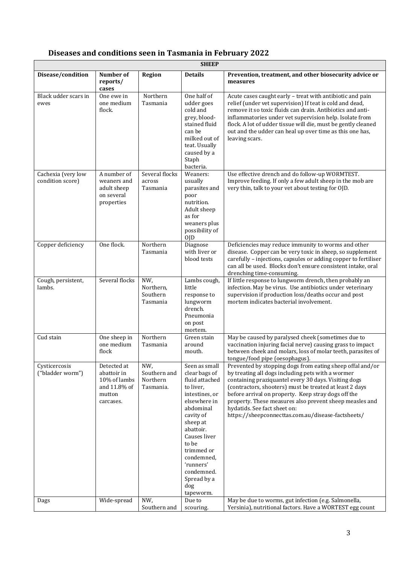# **Diseases and conditions seen in Tasmania in February 2022**

| <b>SHEEP</b>                           |                                                                                   |                                              |                                                                                                                                                                                                                                                                       |                                                                                                                                                                                                                                                                                                                                                                                                                                           |
|----------------------------------------|-----------------------------------------------------------------------------------|----------------------------------------------|-----------------------------------------------------------------------------------------------------------------------------------------------------------------------------------------------------------------------------------------------------------------------|-------------------------------------------------------------------------------------------------------------------------------------------------------------------------------------------------------------------------------------------------------------------------------------------------------------------------------------------------------------------------------------------------------------------------------------------|
| Disease/condition                      | Number of<br>reports/<br>cases                                                    | Region                                       | <b>Details</b>                                                                                                                                                                                                                                                        | Prevention, treatment, and other biosecurity advice or<br>measures                                                                                                                                                                                                                                                                                                                                                                        |
| Black udder scars in<br>ewes           | One ewe in<br>one medium<br>flock.                                                | Northern<br>Tasmania                         | One half of<br>udder goes<br>cold and<br>grey, blood-<br>stained fluid<br>can be<br>milked out of<br>teat. Usually<br>caused by a<br>Staph<br>bacteria.                                                                                                               | Acute cases caught early - treat with antibiotic and pain<br>relief (under vet supervision) If teat is cold and dead,<br>remove it so toxic fluids can drain. Antibiotics and anti-<br>inflammatories under vet supervision help. Isolate from<br>flock. A lot of udder tissue will die, must be gently cleaned<br>out and the udder can heal up over time as this one has,<br>leaving scars.                                             |
| Cachexia (very low<br>condition score) | A number of<br>weaners and<br>adult sheep<br>on several<br>properties             | Several flocks<br>across<br>Tasmania         | Weaners:<br>usually<br>parasites and<br>poor<br>nutrition.<br>Adult sheep<br>as for<br>weaners plus<br>possibility of<br>0 <sub>JD</sub>                                                                                                                              | Use effective drench and do follow-up WORMTEST.<br>Improve feeding. If only a few adult sheep in the mob are<br>very thin, talk to your vet about testing for OJD.                                                                                                                                                                                                                                                                        |
| Copper deficiency                      | One flock.                                                                        | Northern<br>Tasmania                         | Diagnose<br>with liver or<br>blood tests                                                                                                                                                                                                                              | Deficiencies may reduce immunity to worms and other<br>disease. Copper can be very toxic in sheep, so supplement<br>carefully - injections, capsules or adding copper to fertiliser<br>can all be used. Blocks don't ensure consistent intake, oral<br>drenching time-consuming.                                                                                                                                                          |
| Cough, persistent,<br>lambs.           | Several flocks                                                                    | NW,<br>Northern,<br>Southern<br>Tasmania     | Lambs cough,<br>little<br>response to<br>lungworm<br>drench.<br>Pneumonia<br>on post<br>mortem.                                                                                                                                                                       | If little response to lungworm drench, then probably an<br>infection. May be virus. Use antibiotics under veterinary<br>supervision if production loss/deaths occur and post<br>mortem indicates bacterial involvement.                                                                                                                                                                                                                   |
| Cud stain                              | One sheep in<br>one medium<br>flock                                               | Northern<br>Tasmania                         | Green stain<br>around<br>mouth.                                                                                                                                                                                                                                       | May be caused by paralysed cheek (sometimes due to<br>vaccination injuring facial nerve) causing grass to impact<br>between cheek and molars, loss of molar teeth, parasites of<br>tongue/food pipe (oesophagus).                                                                                                                                                                                                                         |
| Cysticercosis<br>("bladder worm")      | Detected at<br>abattoir in<br>10% of lambs<br>and 11.8% of<br>mutton<br>carcases. | NW,<br>Southern and<br>Northern<br>Tasmania. | Seen as small<br>clear bags of<br>fluid attached<br>to liver,<br>intestines, or<br>elsewhere in<br>abdominal<br>cavity of<br>sheep at<br>abattoir.<br>Causes liver<br>to be<br>trimmed or<br>condemned,<br>'runners'<br>condemned.<br>Spread by a<br>dog<br>tapeworm. | Prevented by stopping dogs from eating sheep offal and/or<br>by treating all dogs including pets with a wormer<br>containing praziquantel every 30 days. Visiting dogs<br>(contractors, shooters) must be treated at least 2 days<br>before arrival on property. Keep stray dogs off the<br>property. These measures also prevent sheep measles and<br>hydatids. See fact sheet on:<br>https://sheepconnecttas.com.au/disease-factsheets/ |
| Dags                                   | Wide-spread                                                                       | NW,<br>Southern and                          | Due to<br>scouring.                                                                                                                                                                                                                                                   | May be due to worms, gut infection (e.g. Salmonella,<br>Yersinia), nutritional factors. Have a WORTEST egg count                                                                                                                                                                                                                                                                                                                          |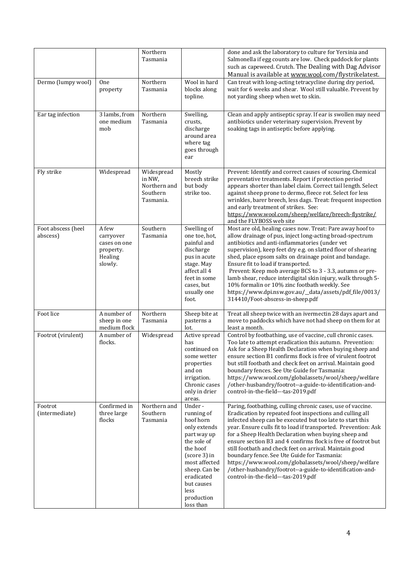|                                |                                                                       | Northern<br>Tasmania                                          |                                                                                                                                                                                                              | done and ask the laboratory to culture for Yersinia and<br>Salmonella if egg counts are low. Check paddock for plants<br>such as capeweed. Crutch. The Dealing with Dag Advisor<br>Manual is available at www.wool.com/flystrikelatest.                                                                                                                                                                                                                                                                                                                                                                                                              |
|--------------------------------|-----------------------------------------------------------------------|---------------------------------------------------------------|--------------------------------------------------------------------------------------------------------------------------------------------------------------------------------------------------------------|------------------------------------------------------------------------------------------------------------------------------------------------------------------------------------------------------------------------------------------------------------------------------------------------------------------------------------------------------------------------------------------------------------------------------------------------------------------------------------------------------------------------------------------------------------------------------------------------------------------------------------------------------|
| Dermo (lumpy wool)             | <b>One</b><br>property                                                | Northern<br>Tasmania                                          | Wool in hard<br>blocks along<br>topline.                                                                                                                                                                     | Can treat with long-acting tetracycline during dry period,<br>wait for 6 weeks and shear. Wool still valuable. Prevent by<br>not yarding sheep when wet to skin.                                                                                                                                                                                                                                                                                                                                                                                                                                                                                     |
| Ear tag infection              | 3 lambs, from<br>one medium<br>mob                                    | Northern<br>Tasmania                                          | Swelling,<br>crusts,<br>discharge<br>around area<br>where tag<br>goes through<br>ear                                                                                                                         | Clean and apply antiseptic spray. If ear is swollen may need<br>antibiotics under veterinary supervision. Prevent by<br>soaking tags in antiseptic before applying.                                                                                                                                                                                                                                                                                                                                                                                                                                                                                  |
| Fly strike                     | Widespread                                                            | Widespread<br>in NW,<br>Northern and<br>Southern<br>Tasmania. | Mostly<br>breech strike<br>but body<br>strike too.                                                                                                                                                           | Prevent: Identify and correct causes of scouring. Chemical<br>preventative treatments. Report if protection period<br>appears shorter than label claim. Correct tail length. Select<br>against sheep prone to dermo, fleece rot. Select for less<br>wrinkles, barer breech, less dags. Treat: frequent inspection<br>and early treatment of strikes. See:<br>https://www.wool.com/sheep/welfare/breech-flystrike/<br>and the FLYBOSS web site                                                                                                                                                                                                        |
| Foot abscess (heel<br>abscess) | A few<br>carryover<br>cases on one<br>property.<br>Healing<br>slowly. | Southern<br>Tasmania                                          | Swelling of<br>one toe, hot,<br>painful and<br>discharge<br>pus in acute<br>stage. May<br>affect all 4<br>feet in some<br>cases, but<br>usually one<br>foot.                                                 | Most are old, healing cases now. Treat: Pare away hoof to<br>allow drainage of pus, inject long-acting broad-spectrum<br>antibiotics and anti-inflammatories (under vet<br>supervision), keep feet dry e.g. on slatted floor of shearing<br>shed, place epsom salts on drainage point and bandage.<br>Ensure fit to load if transported.<br>Prevent: Keep mob average BCS to 3 - 3.3, autumn or pre-<br>lamb shear, reduce interdigital skin injury, walk through 5-<br>10% formalin or 10% zinc footbath weekly. See<br>https://www.dpi.nsw.gov.au/_data/assets/pdf_file/0013/<br>314410/Foot-abscess-in-sheep.pdf                                  |
| Foot lice                      | A number of<br>sheep in one<br>medium flock                           | Northern<br>Tasmania                                          | Sheep bite at<br>pasterns a<br>lot.                                                                                                                                                                          | Treat all sheep twice with an ivermectin 28 days apart and<br>move to paddocks which have not had sheep on them for at<br>least a month.                                                                                                                                                                                                                                                                                                                                                                                                                                                                                                             |
| Footrot (virulent)             | A number of<br>flocks.                                                | Widespread                                                    | Active spread<br>has<br>continued on<br>some wetter<br>properties<br>and on<br>irrigation.<br>Chronic cases<br>only in drier<br>areas.                                                                       | Control by footbathing, use of vaccine, cull chronic cases.<br>Too late to attempt eradication this autumn. Prevention:<br>Ask for a Sheep Health Declaration when buying sheep and<br>ensure section B1 confirms flock is free of virulent footrot<br>but still footbath and check feet on arrival. Maintain good<br>boundary fences. See Ute Guide for Tasmania:<br>https://www.wool.com/globalassets/wool/sheep/welfare<br>/other-husbandry/footrot--a-guide-to-identification-and-<br>control-in-the-field---tas-2019.pdf                                                                                                                        |
| Footrot<br>(intermediate)      | Confirmed in<br>three large<br>flocks                                 | Northern and<br>Southern<br>Tasmania                          | Under-<br>running of<br>hoof horn<br>only extends<br>part way up<br>the sole of<br>the hoof<br>(score 3) in<br>most affected<br>sheep. Can be<br>eradicated<br>but causes<br>less<br>production<br>loss than | Paring, footbathing, culling chronic cases, use of vaccine.<br>Eradication by repeated foot inspections and culling all<br>infected sheep can be executed but too late to start this<br>year. Ensure culls fit to load if transported. Prevention: Ask<br>for a Sheep Health Declaration when buying sheep and<br>ensure section B3 and 4 confirms flock is free of footrot but<br>still footbath and check feet on arrival. Maintain good<br>boundary fence. See Ute Guide for Tasmania:<br>https://www.wool.com/globalassets/wool/sheep/welfare<br>/other-husbandry/footrot--a-guide-to-identification-and-<br>control-in-the-field---tas-2019.pdf |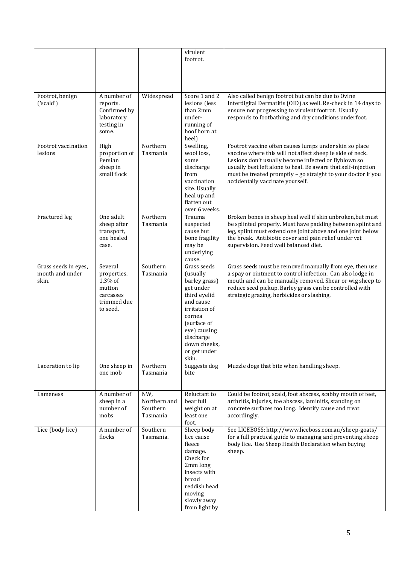|                                                  |                                                                                     |                                             | virulent<br>footrot.                                                                                                                                                                               |                                                                                                                                                                                                                                                                                                                                                  |
|--------------------------------------------------|-------------------------------------------------------------------------------------|---------------------------------------------|----------------------------------------------------------------------------------------------------------------------------------------------------------------------------------------------------|--------------------------------------------------------------------------------------------------------------------------------------------------------------------------------------------------------------------------------------------------------------------------------------------------------------------------------------------------|
| Footrot, benign<br>('scaled')                    | A number of<br>reports.<br>Confirmed by<br>laboratory<br>testing in<br>some.        | Widespread                                  | Score 1 and 2<br>lesions (less<br>than 2mm<br>under-<br>running of<br>hoof horn at<br>heel)                                                                                                        | Also called benign footrot but can be due to Ovine<br>Interdigital Dermatitis (OID) as well. Re-check in 14 days to<br>ensure not progressing to virulent footrot. Usually<br>responds to footbathing and dry conditions underfoot.                                                                                                              |
| Footrot vaccination<br>lesions                   | High<br>proportion of<br>Persian<br>sheep in<br>small flock                         | Northern<br>Tasmania                        | Swelling,<br>wool loss,<br>some<br>discharge<br>from<br>vaccination<br>site. Usually<br>heal up and<br>flatten out<br>over 6 weeks.                                                                | Footrot vaccine often causes lumps under skin so place<br>vaccine where this will not affect sheep ie side of neck.<br>Lesions don't usually become infected or flyblown so<br>usually best left alone to heal. Be aware that self-injection<br>must be treated promptly - go straight to your doctor if you<br>accidentally vaccinate yourself. |
| Fractured leg                                    | One adult<br>sheep after<br>transport,<br>one healed<br>case.                       | Northern<br>Tasmania                        | Trauma<br>suspected<br>cause but<br>bone fragility<br>may be<br>underlying<br>cause.                                                                                                               | Broken bones in sheep heal well if skin unbroken, but must<br>be splinted properly. Must have padding between splint and<br>leg, splint must extend one joint above and one joint below<br>the break. Antibiotic cover and pain relief under vet<br>supervision. Feed well balanced diet.                                                        |
| Grass seeds in eyes,<br>mouth and under<br>skin. | Several<br>properties.<br>1.3% of<br>mutton<br>carcasses<br>trimmed due<br>to seed. | Southern<br>Tasmania                        | Grass seeds<br>(usually<br>barley grass)<br>get under<br>third eyelid<br>and cause<br>irritation of<br>cornea<br>(surface of<br>eye) causing<br>discharge<br>down cheeks,<br>or get under<br>skin. | Grass seeds must be removed manually from eye, then use<br>a spay or ointment to control infection. Can also lodge in<br>mouth and can be manually removed. Shear or wig sheep to<br>reduce seed pickup. Barley grass can be controlled with<br>strategic grazing, herbicides or slashing.                                                       |
| Laceration to lip                                | One sheep in<br>one mob                                                             | Northern<br>Tasmania                        | Suggests dog<br>bite                                                                                                                                                                               | Muzzle dogs that bite when handling sheep.                                                                                                                                                                                                                                                                                                       |
| Lameness                                         | A number of<br>sheep in a<br>number of<br>mobs                                      | NW,<br>Northern and<br>Southern<br>Tasmania | Reluctant to<br>bear full<br>weight on at<br>least one<br>foot.                                                                                                                                    | Could be footrot, scald, foot abscess, scabby mouth of feet,<br>arthritis, injuries, toe abscess, laminitis, standing on<br>concrete surfaces too long. Identify cause and treat<br>accordingly.                                                                                                                                                 |
| Lice (body lice)                                 | A number of<br>flocks                                                               | Southern<br>Tasmania.                       | Sheep body<br>lice cause<br>fleece<br>damage.<br>Check for<br>2mm long<br>insects with<br>broad<br>reddish head<br>moving<br>slowly away<br>from light by                                          | See LICEBOSS: http://www.liceboss.com.au/sheep-goats/<br>for a full practical guide to managing and preventing sheep<br>body lice. Use Sheep Health Declaration when buying<br>sheep.                                                                                                                                                            |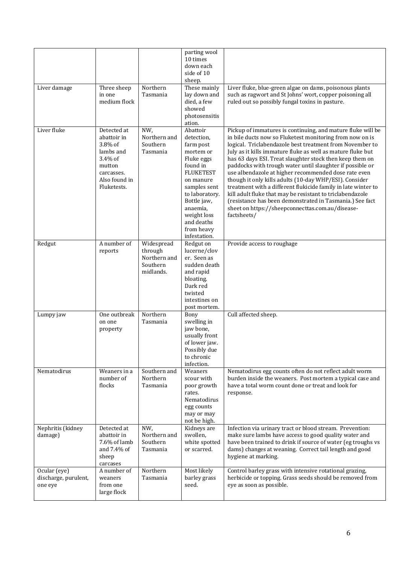|                                                 |                                                                                                                       |                                                                | parting wool<br>10 times<br>down each<br>side of 10<br>sheep.                                                                                                                                                                       |                                                                                                                                                                                                                                                                                                                                                                                                                                                                                                                                                                                                                                                                                                                                                            |
|-------------------------------------------------|-----------------------------------------------------------------------------------------------------------------------|----------------------------------------------------------------|-------------------------------------------------------------------------------------------------------------------------------------------------------------------------------------------------------------------------------------|------------------------------------------------------------------------------------------------------------------------------------------------------------------------------------------------------------------------------------------------------------------------------------------------------------------------------------------------------------------------------------------------------------------------------------------------------------------------------------------------------------------------------------------------------------------------------------------------------------------------------------------------------------------------------------------------------------------------------------------------------------|
| Liver damage                                    | Three sheep<br>in one<br>medium flock                                                                                 | Northern<br>Tasmania                                           | These mainly<br>lay down and<br>died, a few<br>showed<br>photosensitis<br>ation.                                                                                                                                                    | Liver fluke, blue-green algae on dams, poisonous plants<br>such as ragwort and St Johns' wort, copper poisoning all<br>ruled out so possibly fungal toxins in pasture.                                                                                                                                                                                                                                                                                                                                                                                                                                                                                                                                                                                     |
| Liver fluke                                     | Detected at<br>abattoir in<br>3.8% of<br>lambs and<br>3.4% of<br>mutton<br>carcasses.<br>Also found in<br>Fluketests. | NW,<br>Northern and<br>Southern<br>Tasmania                    | Abattoir<br>detection,<br>farm post<br>mortem or<br>Fluke eggs<br>found in<br><b>FLUKETEST</b><br>on manure<br>samples sent<br>to laboratory.<br>Bottle jaw,<br>anaemia,<br>weight loss<br>and deaths<br>from heavy<br>infestation. | Pickup of immatures is continuing, and mature fluke will be<br>in bile ducts now so Fluketest monitoring from now on is<br>logical. Triclabendazole best treatment from November to<br>July as it kills immature fluke as well as mature fluke but<br>has 63 days ESI. Treat slaughter stock then keep them on<br>paddocks with trough water until slaughter if possible or<br>use albendazole at higher recommended dose rate even<br>though it only kills adults (10-day WHP/ESI). Consider<br>treatment with a different flukicide family in late winter to<br>kill adult fluke that may be resistant to triclabendazole<br>(resistance has been demonstrated in Tasmania.) See fact<br>sheet on https://sheepconnecttas.com.au/disease-<br>factsheets/ |
| Redgut                                          | A number of<br>reports                                                                                                | Widespread<br>through<br>Northern and<br>Southern<br>midlands. | Redgut on<br>lucerne/clov<br>er. Seen as<br>sudden death<br>and rapid<br>bloating.<br>Dark red<br>twisted<br>intestines on<br>post mortem.                                                                                          | Provide access to roughage                                                                                                                                                                                                                                                                                                                                                                                                                                                                                                                                                                                                                                                                                                                                 |
| Lumpy jaw                                       | One outbreak<br>on one<br>property                                                                                    | Northern<br>Tasmania                                           | Bony<br>swelling in<br>jaw bone,<br>usually front<br>of lower jaw.<br>Possibly due<br>to chronic<br>infection.                                                                                                                      | Cull affected sheep.                                                                                                                                                                                                                                                                                                                                                                                                                                                                                                                                                                                                                                                                                                                                       |
| Nematodirus                                     | Weaners in a<br>number of<br>flocks                                                                                   | Southern and<br>Northern<br>Tasmania                           | Weaners<br>scour with<br>poor growth<br>rates.<br>Nematodirus<br>egg counts<br>may or may<br>not be high.                                                                                                                           | Nematodirus egg counts often do not reflect adult worm<br>burden inside the weaners. Post mortem a typical case and<br>have a total worm count done or treat and look for<br>response.                                                                                                                                                                                                                                                                                                                                                                                                                                                                                                                                                                     |
| Nephritis (kidney<br>damage)                    | Detected at<br>abattoir in<br>7.6% of lamb<br>and 7.4% of<br>sheep<br>carcases                                        | NW,<br>Northern and<br>Southern<br>Tasmania                    | Kidneys are<br>swollen,<br>white spotted<br>or scarred.                                                                                                                                                                             | Infection via urinary tract or blood stream. Prevention:<br>make sure lambs have access to good quality water and<br>have been trained to drink if source of water (eg troughs vs<br>dams) changes at weaning. Correct tail length and good<br>hygiene at marking.                                                                                                                                                                                                                                                                                                                                                                                                                                                                                         |
| Ocular (eye)<br>discharge, purulent,<br>one eye | A number of<br>weaners<br>from one<br>large flock                                                                     | Northern<br>Tasmania                                           | Most likely<br>barley grass<br>seed.                                                                                                                                                                                                | Control barley grass with intensive rotational grazing,<br>herbicide or topping. Grass seeds should be removed from<br>eye as soon as possible.                                                                                                                                                                                                                                                                                                                                                                                                                                                                                                                                                                                                            |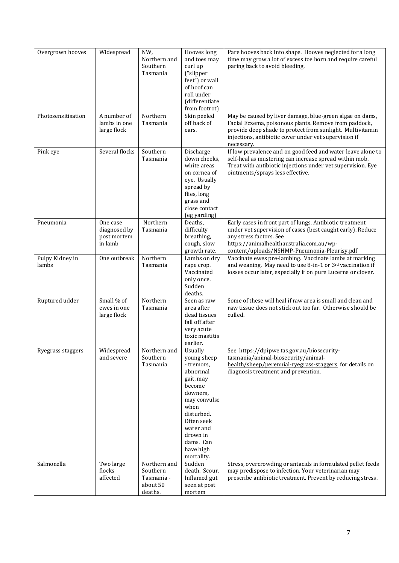| Overgrown hooves         | Widespread                                         | NW,<br>Northern and<br>Southern<br>Tasmania                   | Hooves long<br>and toes may<br>curl up<br>("slipper<br>feet") or wall<br>of hoof can<br>roll under<br>(differentiate<br>from footrot)                                                                    | Pare hooves back into shape. Hooves neglected for a long<br>time may grow a lot of excess toe horn and require careful<br>paring back to avoid bleeding.                                                                                              |
|--------------------------|----------------------------------------------------|---------------------------------------------------------------|----------------------------------------------------------------------------------------------------------------------------------------------------------------------------------------------------------|-------------------------------------------------------------------------------------------------------------------------------------------------------------------------------------------------------------------------------------------------------|
| Photosensitisation       | A number of<br>lambs in one<br>large flock         | Northern<br>Tasmania                                          | Skin peeled<br>off back of<br>ears.                                                                                                                                                                      | May be caused by liver damage, blue-green algae on dams,<br>Facial Eczema, poisonous plants. Remove from paddock,<br>provide deep shade to protect from sunlight. Multivitamin<br>injections, antibiotic cover under vet supervision if<br>necessary. |
| Pink eye                 | Several flocks                                     | Southern<br>Tasmania                                          | Discharge<br>down cheeks,<br>white areas<br>on cornea of<br>eye. Usually<br>spread by<br>flies, long<br>grass and<br>close contact<br>(eg yarding)                                                       | If low prevalence and on good feed and water leave alone to<br>self-heal as mustering can increase spread within mob.<br>Treat with antibiotic injections under vet supervision. Eye<br>ointments/sprays less effective.                              |
| Pneumonia                | One case<br>diagnosed by<br>post mortem<br>in lamb | Northern<br>Tasmania                                          | Deaths,<br>difficulty<br>breathing,<br>cough, slow<br>growth rate.                                                                                                                                       | Early cases in front part of lungs. Antibiotic treatment<br>under vet supervision of cases (best caught early). Reduce<br>any stress factors. See<br>https://animalhealthaustralia.com.au/wp-<br>content/uploads/NSHMP-Pneumonia-Pleurisy.pdf         |
| Pulpy Kidney in<br>lambs | One outbreak                                       | Northern<br>Tasmania                                          | Lambs on dry<br>rape crop.<br>Vaccinated<br>only once.<br>Sudden<br>deaths.                                                                                                                              | Vaccinate ewes pre-lambing. Vaccinate lambs at marking<br>and weaning. May need to use 8-in-1 or 3rd vaccination if<br>losses occur later, especially if on pure Lucerne or clover.                                                                   |
| Ruptured udder           | Small % of<br>ewes in one<br>large flock           | Northern<br>Tasmania                                          | Seen as raw<br>area after<br>dead tissues<br>fall off after<br>very acute<br>toxic mastitis<br>earlier.                                                                                                  | Some of these will heal if raw area is small and clean and<br>raw tissue does not stick out too far. Otherwise should be<br>culled.                                                                                                                   |
| Ryegrass staggers        | Widespread<br>and severe                           | Northern and<br>Southern<br>Tasmania                          | Usually<br>young sheep<br>- tremors,<br>abnormal<br>gait, may<br>become<br>downers,<br>may convulse<br>when<br>disturbed.<br>Often seek<br>water and<br>drown in<br>dams. Can<br>have high<br>mortality. | See https://dpipwe.tas.gov.au/biosecurity-<br>tasmania/animal-biosecurity/animal-<br>health/sheep/perennial-ryegrass-staggers for details on<br>diagnosis treatment and prevention.                                                                   |
| Salmonella               | Two large<br>flocks<br>affected                    | Northern and<br>Southern<br>Tasmania -<br>about 50<br>deaths. | Sudden<br>death. Scour.<br>Inflamed gut<br>seen at post<br>mortem                                                                                                                                        | Stress, overcrowding or antacids in formulated pellet feeds<br>may predispose to infection. Your veterinarian may<br>prescribe antibiotic treatment. Prevent by reducing stress.                                                                      |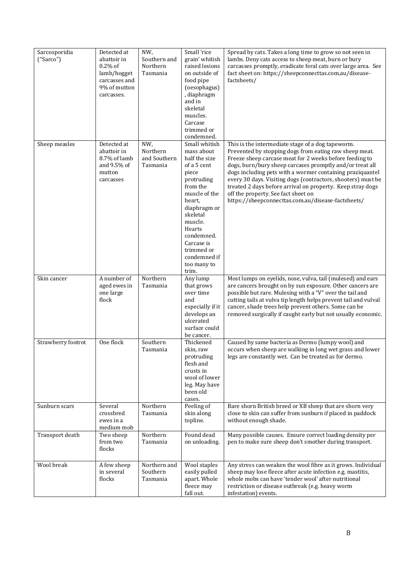| Sarcosporidia<br>("Sarco") | Detected at<br>abattoir in<br>$0.2\%$ of<br>lamb/hogget<br>carcasses and<br>9% of mutton<br>carcasses. | NW,<br>Southern and<br>Northern<br>Tasmania | Small 'rice<br>grain' whitish<br>raised lesions<br>on outside of<br>food pipe<br>(oesophagus)<br>, diaphragm<br>and in<br>skeletal<br>muscles.<br>Carcase<br>trimmed or<br>condemned.                                                                        | Spread by cats. Takes a long time to grow so not seen in<br>lambs. Deny cats access to sheep meat, burn or bury<br>carcasses promptly, eradicate feral cats over large area. See<br>fact sheet on: https://sheepconnecttas.com.au/disease-<br>factsheets/                                                                                                                                                                                                                                                                  |
|----------------------------|--------------------------------------------------------------------------------------------------------|---------------------------------------------|--------------------------------------------------------------------------------------------------------------------------------------------------------------------------------------------------------------------------------------------------------------|----------------------------------------------------------------------------------------------------------------------------------------------------------------------------------------------------------------------------------------------------------------------------------------------------------------------------------------------------------------------------------------------------------------------------------------------------------------------------------------------------------------------------|
| Sheep measles              | Detected at<br>abattoir in<br>8.7% of lamb<br>and 9.5% of<br>mutton<br>carcasses                       | NW,<br>Northern<br>and Southern<br>Tasmania | Small whitish<br>mass about<br>half the size<br>of a 5 cent<br>piece<br>protruding<br>from the<br>muscle of the<br>heart,<br>diaphragm or<br>skeletal<br>muscle.<br>Hearts<br>condemned.<br>Carcase is<br>trimmed or<br>condemned if<br>too many to<br>trim. | This is the intermediate stage of a dog tapeworm.<br>Prevented by stopping dogs from eating raw sheep meat.<br>Freeze sheep carcase meat for 2 weeks before feeding to<br>dogs, burn/bury sheep carcases promptly and/or treat all<br>dogs including pets with a wormer containing praziquantel<br>every 30 days. Visiting dogs (contractors, shooters) must be<br>treated 2 days before arrival on property. Keep stray dogs<br>off the property. See fact sheet on<br>https://sheepconnecttas.com.au/disease-factsheets/ |
| Skin cancer                | A number of<br>aged ewes in<br>one large<br>flock                                                      | Northern<br>Tasmania                        | Any lump<br>that grows<br>over time<br>and<br>especially if it<br>develops an<br>ulcerated<br>surface could<br>be cancer.                                                                                                                                    | Most lumps on eyelids, nose, vulva, tail (mulesed) and ears<br>are cancers brought on by sun exposure. Other cancers are<br>possible but rare. Mulesing with a "V" over the tail and<br>cutting tails at vulva tip length helps prevent tail and vulval<br>cancer, shade trees help prevent others. Some can be<br>removed surgically if caught early but not usually economic.                                                                                                                                            |
| Strawberry footrot         | One flock                                                                                              | Southern<br>Tasmania                        | Thickened<br>skin, raw<br>protruding<br>flesh and<br>crusts in<br>wool of lower<br>leg. May have<br>been old<br>cases.                                                                                                                                       | Caused by same bacteria as Dermo (lumpy wool) and<br>occurs when sheep are walking in long wet grass and lower<br>legs are constantly wet. Can be treated as for dermo.                                                                                                                                                                                                                                                                                                                                                    |
| Sunburn scars              | Several<br>crossbred<br>ewes in a<br>medium mob                                                        | Northern<br>Tasmania                        | Peeling of<br>skin along<br>topline.                                                                                                                                                                                                                         | Bare shorn British breed or XB sheep that are shorn very<br>close to skin can suffer from sunburn if placed in paddock<br>without enough shade.                                                                                                                                                                                                                                                                                                                                                                            |
| Transport death            | Two sheep<br>from two<br>flocks                                                                        | Northern<br>Tasmania                        | Found dead<br>on unloading.                                                                                                                                                                                                                                  | Many possible causes. Ensure correct loading density per<br>pen to make sure sheep don't smother during transport.                                                                                                                                                                                                                                                                                                                                                                                                         |
| Wool break                 | A few sheep<br>in several<br>flocks                                                                    | Northern and<br>Southern<br>Tasmania        | Wool staples<br>easily pulled<br>apart. Whole<br>fleece may<br>fall out.                                                                                                                                                                                     | Any stress can weaken the wool fibre as it grows. Individual<br>sheep may lose fleece after acute infection e.g. mastitis,<br>whole mobs can have 'tender wool' after nutritional<br>restriction or disease outbreak (e.g. heavy worm<br>infestation) events.                                                                                                                                                                                                                                                              |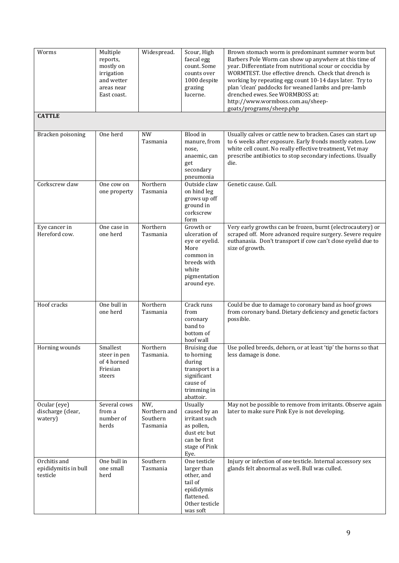| Worms                                            | Multiple<br>reports,<br>mostly on<br>irrigation<br>and wetter<br>areas near<br>East coast. | Widespread.                                 | Scour, High<br>faecal egg<br>count. Some<br>counts over<br>1000 despite<br>grazing<br>lucerne.                           | Brown stomach worm is predominant summer worm but<br>Barbers Pole Worm can show up anywhere at this time of<br>year. Differentiate from nutritional scour or coccidia by<br>WORMTEST. Use effective drench. Check that drench is<br>working by repeating egg count 10-14 days later. Try to<br>plan 'clean' paddocks for weaned lambs and pre-lamb<br>drenched ewes. See WORMBOSS at:<br>http://www.wormboss.com.au/sheep-<br>goats/programs/sheep.php |
|--------------------------------------------------|--------------------------------------------------------------------------------------------|---------------------------------------------|--------------------------------------------------------------------------------------------------------------------------|--------------------------------------------------------------------------------------------------------------------------------------------------------------------------------------------------------------------------------------------------------------------------------------------------------------------------------------------------------------------------------------------------------------------------------------------------------|
| <b>CATTLE</b>                                    |                                                                                            |                                             |                                                                                                                          |                                                                                                                                                                                                                                                                                                                                                                                                                                                        |
| Bracken poisoning                                | One herd                                                                                   | <b>NW</b><br>Tasmania                       | Blood in<br>manure, from<br>nose,<br>anaemic, can<br>get<br>secondary<br>pneumonia                                       | Usually calves or cattle new to bracken. Cases can start up<br>to 6 weeks after exposure. Early fronds mostly eaten. Low<br>white cell count. No really effective treatment, Vet may<br>prescribe antibiotics to stop secondary infections. Usually<br>die.                                                                                                                                                                                            |
| Corkscrew claw                                   | One cow on<br>one property                                                                 | Northern<br>Tasmania                        | Outside claw<br>on hind leg<br>grows up off<br>ground in<br>corkscrew<br>form                                            | Genetic cause. Cull.                                                                                                                                                                                                                                                                                                                                                                                                                                   |
| Eye cancer in<br>Hereford cow.                   | One case in<br>one herd                                                                    | Northern<br>Tasmania                        | Growth or<br>ulceration of<br>eye or eyelid.<br>More<br>common in<br>breeds with<br>white<br>pigmentation<br>around eye. | Very early growths can be frozen, burnt (electrocautery) or<br>scraped off. More advanced require surgery. Severe require<br>euthanasia. Don't transport if cow can't close eyelid due to<br>size of growth.                                                                                                                                                                                                                                           |
| Hoof cracks                                      | One bull in<br>one herd                                                                    | Northern<br>Tasmania                        | Crack runs<br>from<br>coronary<br>band to<br>bottom of<br>hoof wall                                                      | Could be due to damage to coronary band as hoof grows<br>from coronary band. Dietary deficiency and genetic factors<br>possible.                                                                                                                                                                                                                                                                                                                       |
| Horning wounds                                   | Smallest<br>steer in pen<br>of 4 horned<br>Friesian<br>steers                              | Northern<br>Tasmania.                       | Bruising due<br>to horning<br>during<br>transport is a<br>significant<br>cause of<br>trimming in<br>abattoir.            | Use polled breeds, dehorn, or at least 'tip' the horns so that<br>less damage is done.                                                                                                                                                                                                                                                                                                                                                                 |
| Ocular (eye)<br>discharge (clear,<br>watery)     | Several cows<br>from a<br>number of<br>herds                                               | NW,<br>Northern and<br>Southern<br>Tasmania | Usually<br>caused by an<br>irritant such<br>as pollen,<br>dust etc but<br>can be first<br>stage of Pink<br>Eye.          | May not be possible to remove from irritants. Observe again<br>later to make sure Pink Eye is not developing.                                                                                                                                                                                                                                                                                                                                          |
| Orchitis and<br>epididymitis in bull<br>testicle | One bull in<br>one small<br>herd                                                           | Southern<br>Tasmania                        | One testicle<br>larger than<br>other, and<br>tail of<br>epididymis<br>flattened.<br>Other testicle<br>was soft           | Injury or infection of one testicle. Internal accessory sex<br>glands felt abnormal as well. Bull was culled.                                                                                                                                                                                                                                                                                                                                          |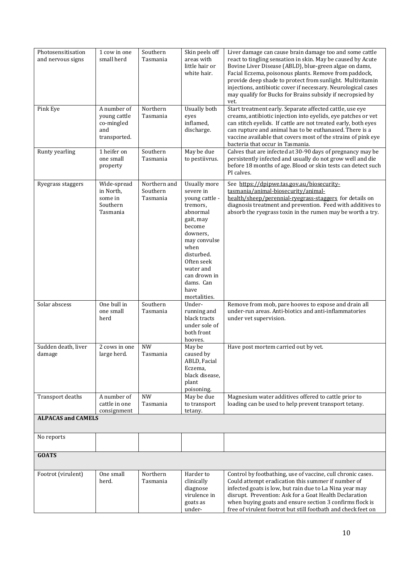| Photosensitisation<br>and nervous signs | 1 cow in one<br>small herd                                       | Southern<br>Tasmania                 | Skin peels off<br>areas with<br>little hair or<br>white hair.                                                                                                                                                                       | Liver damage can cause brain damage too and some cattle<br>react to tingling sensation in skin. May be caused by Acute<br>Bovine Liver Disease (ABLD), blue-green algae on dams,<br>Facial Eczema, poisonous plants. Remove from paddock,<br>provide deep shade to protect from sunlight. Multivitamin<br>injections, antibiotic cover if necessary. Neurological cases<br>may qualify for Bucks for Brains subsidy if necropsied by<br>vet. |
|-----------------------------------------|------------------------------------------------------------------|--------------------------------------|-------------------------------------------------------------------------------------------------------------------------------------------------------------------------------------------------------------------------------------|----------------------------------------------------------------------------------------------------------------------------------------------------------------------------------------------------------------------------------------------------------------------------------------------------------------------------------------------------------------------------------------------------------------------------------------------|
| Pink Eye                                | A number of<br>young cattle<br>co-mingled<br>and<br>transported. | Northern<br>Tasmania                 | Usually both<br>eyes<br>inflamed,<br>discharge.                                                                                                                                                                                     | Start treatment early. Separate affected cattle, use eye<br>creams, antibiotic injection into eyelids, eye patches or vet<br>can stitch eyelids. If cattle are not treated early, both eyes<br>can rupture and animal has to be euthanased. There is a<br>vaccine available that covers most of the strains of pink eye<br>bacteria that occur in Tasmania.                                                                                  |
| Runty yearling                          | 1 heifer on<br>one small<br>property                             | Southern<br>Tasmania                 | May be due<br>to pestiivrus.                                                                                                                                                                                                        | Calves that are infected at 30-90 days of pregnancy may be<br>persistently infected and usually do not grow well and die<br>before 18 months of age. Blood or skin tests can detect such<br>PI calves.                                                                                                                                                                                                                                       |
| Ryegrass staggers                       | Wide-spread<br>in North,<br>some in<br>Southern<br>Tasmania      | Northern and<br>Southern<br>Tasmania | <b>Usually more</b><br>severe in<br>young cattle -<br>tremors,<br>abnormal<br>gait, may<br>become<br>downers,<br>may convulse<br>when<br>disturbed.<br>Often seek<br>water and<br>can drown in<br>dams. Can<br>have<br>mortalities. | See https://dpipwe.tas.gov.au/biosecurity-<br>tasmania/animal-biosecurity/animal-<br>health/sheep/perennial-ryegrass-staggers for details on<br>diagnosis treatment and prevention. Feed with additives to<br>absorb the ryegrass toxin in the rumen may be worth a try.                                                                                                                                                                     |
| Solar abscess                           | One bull in<br>one small<br>herd                                 | Southern<br>Tasmania                 | Under-<br>running and<br>black tracts<br>under sole of<br>both front<br>hooves.                                                                                                                                                     | Remove from mob, pare hooves to expose and drain all<br>under-run areas. Anti-biotics and anti-inflammatories<br>under vet supervision.                                                                                                                                                                                                                                                                                                      |
| Sudden death, liver<br>damage           | $2 \cos$ in one<br>large herd.                                   | <b>NW</b><br>Tasmania                | May be<br>caused by<br>ABLD, Facial<br>Eczema,<br>black disease,<br>plant<br>poisoning.                                                                                                                                             | Have post mortem carried out by vet.                                                                                                                                                                                                                                                                                                                                                                                                         |
| Transport deaths                        | A number of<br>cattle in one<br>consignment                      | <b>NW</b><br>Tasmania                | May be due<br>to transport<br>tetany.                                                                                                                                                                                               | Magnesium water additives offered to cattle prior to<br>loading can be used to help prevent transport tetany.                                                                                                                                                                                                                                                                                                                                |
| <b>ALPACAS and CAMELS</b>               |                                                                  |                                      |                                                                                                                                                                                                                                     |                                                                                                                                                                                                                                                                                                                                                                                                                                              |
| No reports                              |                                                                  |                                      |                                                                                                                                                                                                                                     |                                                                                                                                                                                                                                                                                                                                                                                                                                              |
| <b>GOATS</b>                            |                                                                  |                                      |                                                                                                                                                                                                                                     |                                                                                                                                                                                                                                                                                                                                                                                                                                              |
| Footrot (virulent)                      | One small<br>herd.                                               | Northern<br>Tasmania                 | Harder to<br>clinically<br>diagnose<br>virulence in<br>goats as<br>under-                                                                                                                                                           | Control by footbathing, use of vaccine, cull chronic cases.<br>Could attempt eradication this summer if number of<br>infected goats is low, but rain due to La Nina year may<br>disrupt. Prevention: Ask for a Goat Health Declaration<br>when buying goats and ensure section 3 confirms flock is<br>free of virulent footrot but still footbath and check feet on                                                                          |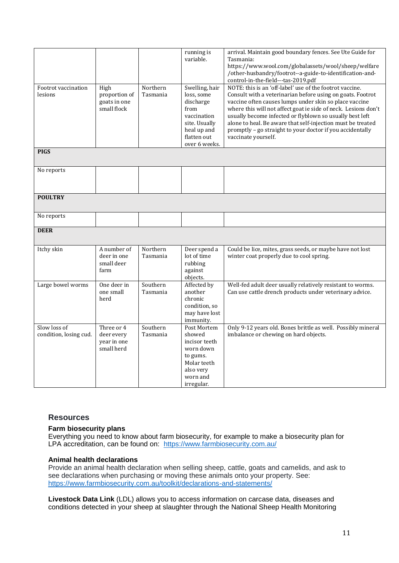| Footrot vaccination<br>lesions         | High<br>proportion of<br>goats in one<br>small flock  | Northern<br>Tasmania | running is<br>variable.<br>Swelling, hair<br>loss, some<br>discharge<br>from<br>vaccination<br>site. Usually<br>heal up and<br>flatten out | arrival. Maintain good boundary fences. See Ute Guide for<br>Tasmania:<br>https://www.wool.com/globalassets/wool/sheep/welfare<br>/other-husbandry/footrot--a-guide-to-identification-and-<br>control-in-the-field---tas-2019.pdf<br>NOTE: this is an 'off-label' use of the footrot vaccine.<br>Consult with a veterinarian before using on goats. Footrot<br>vaccine often causes lumps under skin so place vaccine<br>where this will not affect goat ie side of neck. Lesions don't<br>usually become infected or flyblown so usually best left<br>alone to heal. Be aware that self-injection must be treated<br>promptly - go straight to your doctor if you accidentally<br>vaccinate yourself. |
|----------------------------------------|-------------------------------------------------------|----------------------|--------------------------------------------------------------------------------------------------------------------------------------------|--------------------------------------------------------------------------------------------------------------------------------------------------------------------------------------------------------------------------------------------------------------------------------------------------------------------------------------------------------------------------------------------------------------------------------------------------------------------------------------------------------------------------------------------------------------------------------------------------------------------------------------------------------------------------------------------------------|
| <b>PIGS</b>                            |                                                       |                      | over 6 weeks.                                                                                                                              |                                                                                                                                                                                                                                                                                                                                                                                                                                                                                                                                                                                                                                                                                                        |
| No reports                             |                                                       |                      |                                                                                                                                            |                                                                                                                                                                                                                                                                                                                                                                                                                                                                                                                                                                                                                                                                                                        |
| <b>POULTRY</b>                         |                                                       |                      |                                                                                                                                            |                                                                                                                                                                                                                                                                                                                                                                                                                                                                                                                                                                                                                                                                                                        |
| No reports                             |                                                       |                      |                                                                                                                                            |                                                                                                                                                                                                                                                                                                                                                                                                                                                                                                                                                                                                                                                                                                        |
| <b>DEER</b>                            |                                                       |                      |                                                                                                                                            |                                                                                                                                                                                                                                                                                                                                                                                                                                                                                                                                                                                                                                                                                                        |
| Itchy skin                             | A number of<br>deer in one<br>small deer<br>farm      | Northern<br>Tasmania | Deer spend a<br>lot of time<br>rubbing<br>against<br>objects.                                                                              | Could be lice, mites, grass seeds, or maybe have not lost<br>winter coat properly due to cool spring.                                                                                                                                                                                                                                                                                                                                                                                                                                                                                                                                                                                                  |
| Large bowel worms                      | One deer in<br>one small<br>herd                      | Southern<br>Tasmania | Affected by<br>another<br>chronic<br>condition, so<br>may have lost<br>immunity.                                                           | Well-fed adult deer usually relatively resistant to worms.<br>Can use cattle drench products under veterinary advice.                                                                                                                                                                                                                                                                                                                                                                                                                                                                                                                                                                                  |
| Slow loss of<br>condition, losing cud. | Three or 4<br>deer every<br>year in one<br>small herd | Southern<br>Tasmania | Post Mortem<br>showed<br>incisor teeth<br>worn down<br>to gums.<br>Molar teeth<br>also very<br>worn and<br>irregular.                      | Only 9-12 years old. Bones brittle as well. Possibly mineral<br>imbalance or chewing on hard objects.                                                                                                                                                                                                                                                                                                                                                                                                                                                                                                                                                                                                  |

# **Resources**

# **Farm biosecurity plans**

Everything you need to know about farm biosecurity, for example to make a biosecurity plan for LPA accreditation, can be found on: <https://www.farmbiosecurity.com.au/>

## **Animal health declarations**

Provide an animal health declaration when selling sheep, cattle, goats and camelids, and ask to see declarations when purchasing or moving these animals onto your property. See: <https://www.farmbiosecurity.com.au/toolkit/declarations-and-statements/>

**Livestock Data Link** (LDL) allows you to access information on carcase data, diseases and conditions detected in your sheep at slaughter through the National Sheep Health Monitoring